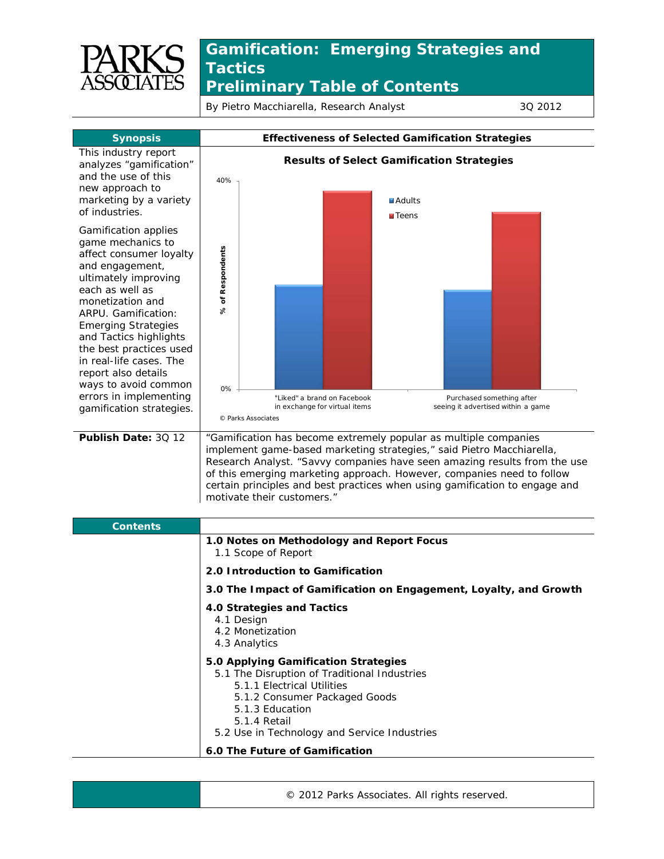

## **Gamification: Emerging Strategies and Tactics** *Preliminary Table of Contents*

By Pietro Macchiarella, Research Analyst 3Q 2012



| <b>Contents</b> |                                                                                                                                                                                                                                        |
|-----------------|----------------------------------------------------------------------------------------------------------------------------------------------------------------------------------------------------------------------------------------|
|                 | 1.0 Notes on Methodology and Report Focus<br>1.1 Scope of Report                                                                                                                                                                       |
|                 | 2.0 Introduction to Gamification                                                                                                                                                                                                       |
|                 | 3.0 The Impact of Gamification on Engagement, Loyalty, and Growth                                                                                                                                                                      |
|                 | 4.0 Strategies and Tactics<br>4.1 Design<br>4.2 Monetization<br>4.3 Analytics                                                                                                                                                          |
|                 | 5.0 Applying Gamification Strategies<br>5.1 The Disruption of Traditional Industries<br>5.1.1 Electrical Utilities<br>5.1.2 Consumer Packaged Goods<br>5.1.3 Education<br>5.1.4 Retail<br>5.2 Use in Technology and Service Industries |
|                 | 6.0 The Future of Gamification                                                                                                                                                                                                         |

© 2012 Parks Associates. All rights reserved.